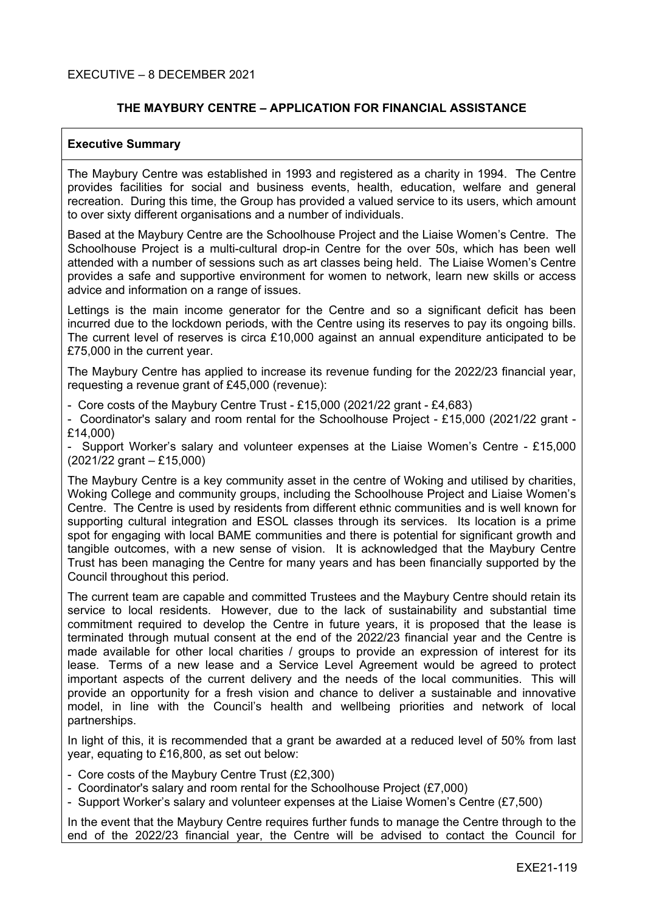#### EXECUTIVE – 8 DECEMBER 2021

#### **THE MAYBURY CENTRE – APPLICATION FOR FINANCIAL ASSISTANCE**

#### **Executive Summary**

The Maybury Centre was established in 1993 and registered as a charity in 1994. The Centre provides facilities for social and business events, health, education, welfare and general recreation. During this time, the Group has provided a valued service to its users, which amount to over sixty different organisations and a number of individuals.

Based at the Maybury Centre are the Schoolhouse Project and the Liaise Women's Centre. The Schoolhouse Project is a multi-cultural drop-in Centre for the over 50s, which has been well attended with a number of sessions such as art classes being held. The Liaise Women's Centre provides a safe and supportive environment for women to network, learn new skills or access advice and information on a range of issues.

Lettings is the main income generator for the Centre and so a significant deficit has been incurred due to the lockdown periods, with the Centre using its reserves to pay its ongoing bills. The current level of reserves is circa £10,000 against an annual expenditure anticipated to be £75,000 in the current year.

The Maybury Centre has applied to increase its revenue funding for the 2022/23 financial year, requesting a revenue grant of £45,000 (revenue):

- Core costs of the Maybury Centre Trust - £15,000 (2021/22 grant - £4,683)

- Coordinator's salary and room rental for the Schoolhouse Project - £15,000 (2021/22 grant - £14,000)

- Support Worker's salary and volunteer expenses at the Liaise Women's Centre - £15,000 (2021/22 grant – £15,000)

The Maybury Centre is a key community asset in the centre of Woking and utilised by charities, Woking College and community groups, including the Schoolhouse Project and Liaise Women's Centre. The Centre is used by residents from different ethnic communities and is well known for supporting cultural integration and ESOL classes through its services. Its location is a prime spot for engaging with local BAME communities and there is potential for significant growth and tangible outcomes, with a new sense of vision. It is acknowledged that the Maybury Centre Trust has been managing the Centre for many years and has been financially supported by the Council throughout this period.

The current team are capable and committed Trustees and the Maybury Centre should retain its service to local residents. However, due to the lack of sustainability and substantial time commitment required to develop the Centre in future years, it is proposed that the lease is terminated through mutual consent at the end of the 2022/23 financial year and the Centre is made available for other local charities / groups to provide an expression of interest for its lease. Terms of a new lease and a Service Level Agreement would be agreed to protect important aspects of the current delivery and the needs of the local communities. This will provide an opportunity for a fresh vision and chance to deliver a sustainable and innovative model, in line with the Council's health and wellbeing priorities and network of local partnerships.

In light of this, it is recommended that a grant be awarded at a reduced level of 50% from last year, equating to £16,800, as set out below:

- Core costs of the Maybury Centre Trust (£2,300)
- Coordinator's salary and room rental for the Schoolhouse Project (£7,000)
- Support Worker's salary and volunteer expenses at the Liaise Women's Centre (£7,500)

In the event that the Maybury Centre requires further funds to manage the Centre through to the end of the 2022/23 financial year, the Centre will be advised to contact the Council for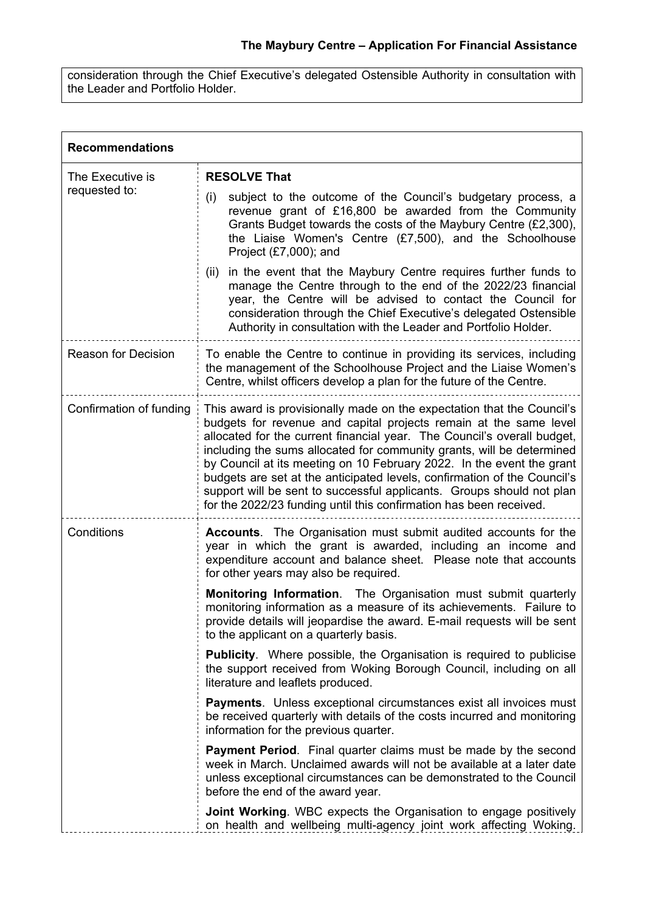consideration through the Chief Executive's delegated Ostensible Authority in consultation with the Leader and Portfolio Holder.

| <b>Recommendations</b>            |                                                                                                                                                                                                                                                                                                                                                                                                                                                                                                                                                                                                     |  |
|-----------------------------------|-----------------------------------------------------------------------------------------------------------------------------------------------------------------------------------------------------------------------------------------------------------------------------------------------------------------------------------------------------------------------------------------------------------------------------------------------------------------------------------------------------------------------------------------------------------------------------------------------------|--|
| The Executive is<br>requested to: | <b>RESOLVE That</b>                                                                                                                                                                                                                                                                                                                                                                                                                                                                                                                                                                                 |  |
|                                   | (i)<br>subject to the outcome of the Council's budgetary process, a<br>revenue grant of £16,800 be awarded from the Community<br>Grants Budget towards the costs of the Maybury Centre (£2,300),<br>the Liaise Women's Centre $(E7,500)$ , and the Schoolhouse<br>Project $(E7,000)$ ; and                                                                                                                                                                                                                                                                                                          |  |
|                                   | in the event that the Maybury Centre requires further funds to<br>(ii)<br>manage the Centre through to the end of the 2022/23 financial<br>year, the Centre will be advised to contact the Council for<br>consideration through the Chief Executive's delegated Ostensible<br>Authority in consultation with the Leader and Portfolio Holder.                                                                                                                                                                                                                                                       |  |
| <b>Reason for Decision</b>        | To enable the Centre to continue in providing its services, including<br>the management of the Schoolhouse Project and the Liaise Women's<br>Centre, whilst officers develop a plan for the future of the Centre.                                                                                                                                                                                                                                                                                                                                                                                   |  |
| Confirmation of funding           | This award is provisionally made on the expectation that the Council's<br>budgets for revenue and capital projects remain at the same level<br>allocated for the current financial year. The Council's overall budget,<br>including the sums allocated for community grants, will be determined<br>by Council at its meeting on 10 February 2022. In the event the grant<br>budgets are set at the anticipated levels, confirmation of the Council's<br>support will be sent to successful applicants. Groups should not plan<br>for the 2022/23 funding until this confirmation has been received. |  |
| Conditions                        | <b>Accounts.</b> The Organisation must submit audited accounts for the<br>year in which the grant is awarded, including an income and<br>expenditure account and balance sheet. Please note that accounts<br>for other years may also be required.                                                                                                                                                                                                                                                                                                                                                  |  |
|                                   | Monitoring Information. The Organisation must submit quarterly<br>monitoring information as a measure of its achievements. Failure to<br>provide details will jeopardise the award. E-mail requests will be sent<br>to the applicant on a quarterly basis.                                                                                                                                                                                                                                                                                                                                          |  |
|                                   | <b>Publicity.</b> Where possible, the Organisation is required to publicise<br>the support received from Woking Borough Council, including on all<br>literature and leaflets produced.                                                                                                                                                                                                                                                                                                                                                                                                              |  |
|                                   | <b>Payments.</b> Unless exceptional circumstances exist all invoices must<br>be received quarterly with details of the costs incurred and monitoring<br>information for the previous quarter.                                                                                                                                                                                                                                                                                                                                                                                                       |  |
|                                   | <b>Payment Period.</b> Final quarter claims must be made by the second<br>week in March. Unclaimed awards will not be available at a later date<br>unless exceptional circumstances can be demonstrated to the Council<br>before the end of the award year.                                                                                                                                                                                                                                                                                                                                         |  |
|                                   | Joint Working. WBC expects the Organisation to engage positively<br>on health and wellbeing multi-agency joint work affecting Woking.                                                                                                                                                                                                                                                                                                                                                                                                                                                               |  |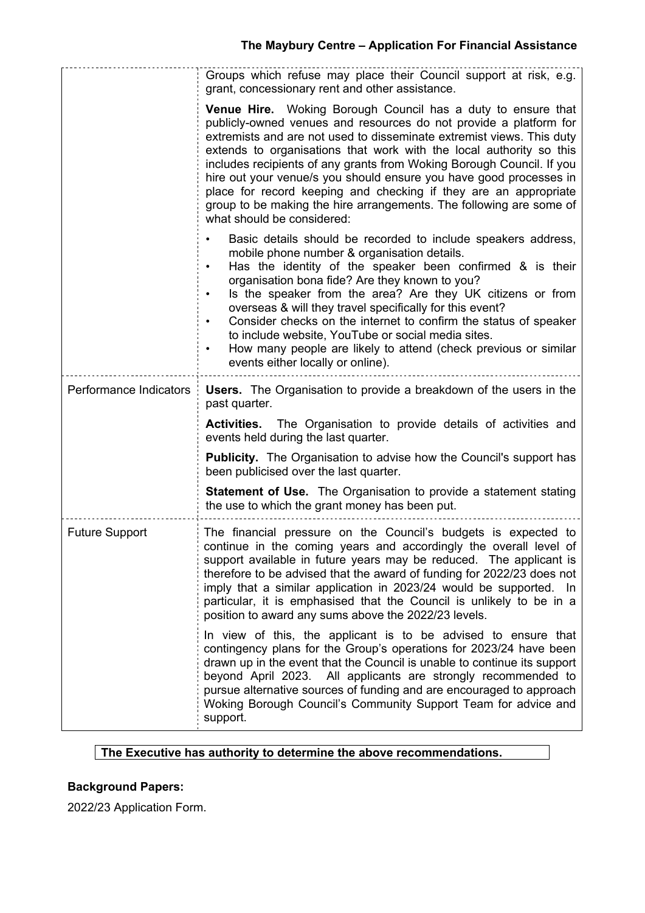|                        | Groups which refuse may place their Council support at risk, e.g.<br>grant, concessionary rent and other assistance.                                                                                                                                                                                                                                                                                                                                                                                                                                                                                              |
|------------------------|-------------------------------------------------------------------------------------------------------------------------------------------------------------------------------------------------------------------------------------------------------------------------------------------------------------------------------------------------------------------------------------------------------------------------------------------------------------------------------------------------------------------------------------------------------------------------------------------------------------------|
|                        | <b>Venue Hire.</b> Woking Borough Council has a duty to ensure that<br>publicly-owned venues and resources do not provide a platform for<br>extremists and are not used to disseminate extremist views. This duty<br>extends to organisations that work with the local authority so this<br>includes recipients of any grants from Woking Borough Council. If you<br>hire out your venue/s you should ensure you have good processes in<br>place for record keeping and checking if they are an appropriate<br>group to be making the hire arrangements. The following are some of<br>what should be considered:  |
|                        | Basic details should be recorded to include speakers address,<br>mobile phone number & organisation details.<br>Has the identity of the speaker been confirmed & is their<br>$\bullet$<br>organisation bona fide? Are they known to you?<br>Is the speaker from the area? Are they UK citizens or from<br>$\bullet$<br>overseas & will they travel specifically for this event?<br>Consider checks on the internet to confirm the status of speaker<br>to include website, YouTube or social media sites.<br>How many people are likely to attend (check previous or similar<br>events either locally or online). |
| Performance Indicators | <b>Users.</b> The Organisation to provide a breakdown of the users in the<br>past quarter.                                                                                                                                                                                                                                                                                                                                                                                                                                                                                                                        |
|                        | Activities. The Organisation to provide details of activities and<br>events held during the last quarter.                                                                                                                                                                                                                                                                                                                                                                                                                                                                                                         |
|                        | <b>Publicity.</b> The Organisation to advise how the Council's support has<br>been publicised over the last quarter.                                                                                                                                                                                                                                                                                                                                                                                                                                                                                              |
|                        | <b>Statement of Use.</b> The Organisation to provide a statement stating<br>the use to which the grant money has been put.                                                                                                                                                                                                                                                                                                                                                                                                                                                                                        |
| <b>Future Support</b>  | The financial pressure on the Council's budgets is expected to<br>continue in the coming years and accordingly the overall level of<br>support available in future years may be reduced. The applicant is<br>therefore to be advised that the award of funding for 2022/23 does not<br>imply that a similar application in 2023/24 would be supported. In<br>particular, it is emphasised that the Council is unlikely to be in a<br>position to award any sums above the 2022/23 levels.                                                                                                                         |
|                        | In view of this, the applicant is to be advised to ensure that<br>contingency plans for the Group's operations for 2023/24 have been<br>drawn up in the event that the Council is unable to continue its support<br>beyond April 2023. All applicants are strongly recommended to<br>pursue alternative sources of funding and are encouraged to approach<br>Woking Borough Council's Community Support Team for advice and<br>support.                                                                                                                                                                           |

## **The Executive has authority to determine the above recommendations.**

# **Background Papers:**

2022/23 Application Form.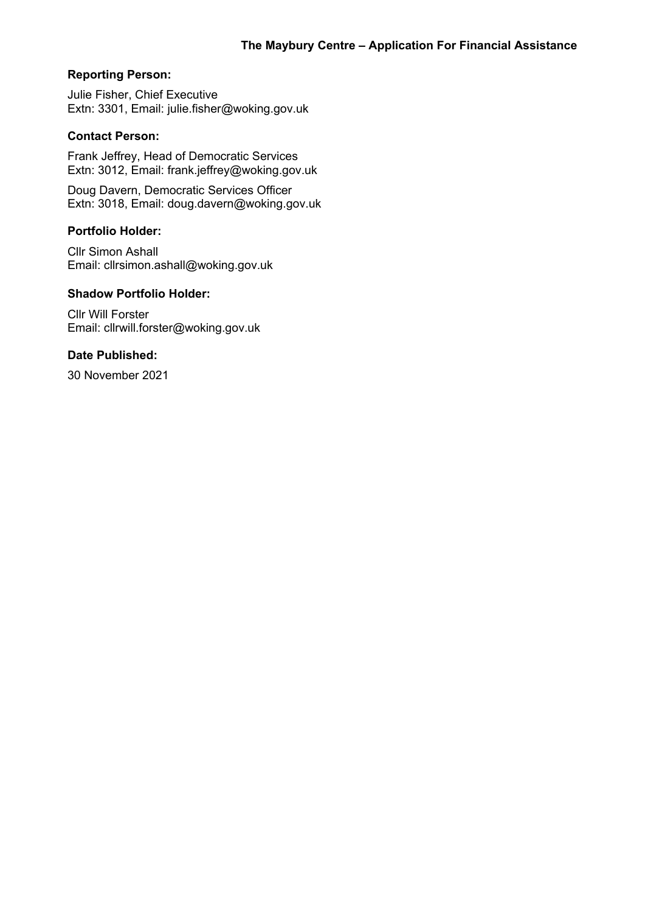## **Reporting Person:**

Julie Fisher, Chief Executive Extn: 3301, Email: julie.fisher@woking.gov.uk

### **Contact Person:**

Frank Jeffrey, Head of Democratic Services Extn: 3012, Email: frank.jeffrey@woking.gov.uk

Doug Davern, Democratic Services Officer Extn: 3018, Email: doug.davern@woking.gov.uk

### **Portfolio Holder:**

Cllr Simon Ashall Email: cllrsimon.ashall@woking.gov.uk

# **Shadow Portfolio Holder:**

Cllr Will Forster Email: cllrwill.forster@woking.gov.uk

#### **Date Published:**

30 November 2021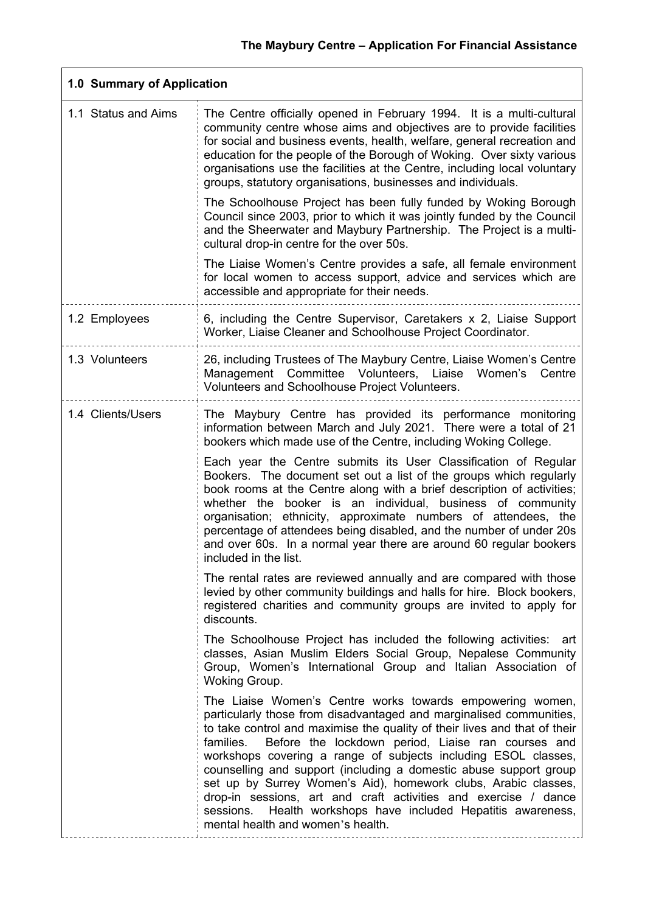٦

| 1.0 Summary of Application |                                                                                                                                                                                                                                                                                                                                                                                                                                                                                                                                                                                                                                                                       |  |
|----------------------------|-----------------------------------------------------------------------------------------------------------------------------------------------------------------------------------------------------------------------------------------------------------------------------------------------------------------------------------------------------------------------------------------------------------------------------------------------------------------------------------------------------------------------------------------------------------------------------------------------------------------------------------------------------------------------|--|
| 1.1 Status and Aims        | The Centre officially opened in February 1994. It is a multi-cultural<br>community centre whose aims and objectives are to provide facilities<br>for social and business events, health, welfare, general recreation and<br>education for the people of the Borough of Woking. Over sixty various<br>organisations use the facilities at the Centre, including local voluntary<br>groups, statutory organisations, businesses and individuals.                                                                                                                                                                                                                        |  |
|                            | The Schoolhouse Project has been fully funded by Woking Borough<br>Council since 2003, prior to which it was jointly funded by the Council<br>and the Sheerwater and Maybury Partnership. The Project is a multi-<br>cultural drop-in centre for the over 50s.                                                                                                                                                                                                                                                                                                                                                                                                        |  |
|                            | The Liaise Women's Centre provides a safe, all female environment<br>for local women to access support, advice and services which are<br>accessible and appropriate for their needs.                                                                                                                                                                                                                                                                                                                                                                                                                                                                                  |  |
| 1.2 Employees              | 6, including the Centre Supervisor, Caretakers x 2, Liaise Support<br>Worker, Liaise Cleaner and Schoolhouse Project Coordinator.                                                                                                                                                                                                                                                                                                                                                                                                                                                                                                                                     |  |
| 1.3 Volunteers             | 26, including Trustees of The Maybury Centre, Liaise Women's Centre<br>Management Committee Volunteers, Liaise<br>Women's Centre<br>Volunteers and Schoolhouse Project Volunteers.                                                                                                                                                                                                                                                                                                                                                                                                                                                                                    |  |
| 1.4 Clients/Users          | The Maybury Centre has provided its performance monitoring<br>information between March and July 2021. There were a total of 21<br>bookers which made use of the Centre, including Woking College.                                                                                                                                                                                                                                                                                                                                                                                                                                                                    |  |
|                            | Each year the Centre submits its User Classification of Regular<br>Bookers. The document set out a list of the groups which regularly<br>book rooms at the Centre along with a brief description of activities;<br>whether the<br>booker is an individual, business of community<br>organisation; ethnicity, approximate numbers of attendees, the<br>percentage of attendees being disabled, and the number of under 20s<br>and over 60s. In a normal year there are around 60 regular bookers<br>included in the list.                                                                                                                                              |  |
|                            | The rental rates are reviewed annually and are compared with those<br>levied by other community buildings and halls for hire. Block bookers,<br>registered charities and community groups are invited to apply for<br>discounts.                                                                                                                                                                                                                                                                                                                                                                                                                                      |  |
|                            | The Schoolhouse Project has included the following activities: art<br>classes, Asian Muslim Elders Social Group, Nepalese Community<br>Group, Women's International Group and Italian Association of<br>Woking Group.                                                                                                                                                                                                                                                                                                                                                                                                                                                 |  |
|                            | The Liaise Women's Centre works towards empowering women,<br>particularly those from disadvantaged and marginalised communities,<br>to take control and maximise the quality of their lives and that of their<br>Before the lockdown period, Liaise ran courses and<br>families.<br>workshops covering a range of subjects including ESOL classes,<br>counselling and support (including a domestic abuse support group<br>set up by Surrey Women's Aid), homework clubs, Arabic classes,<br>drop-in sessions, art and craft activities and exercise / dance<br>Health workshops have included Hepatitis awareness,<br>sessions.<br>mental health and women's health. |  |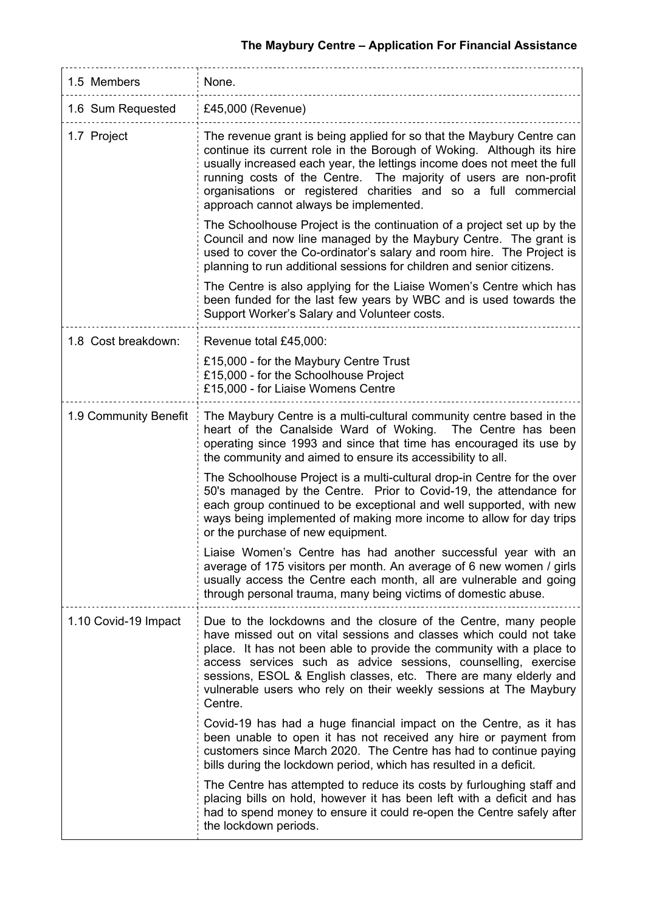| 1.5 Members           | None.                                                                                                                                                                                                                                                                                                                                                                                                                                |  |
|-----------------------|--------------------------------------------------------------------------------------------------------------------------------------------------------------------------------------------------------------------------------------------------------------------------------------------------------------------------------------------------------------------------------------------------------------------------------------|--|
| 1.6 Sum Requested     | £45,000 (Revenue)                                                                                                                                                                                                                                                                                                                                                                                                                    |  |
| 1.7 Project           | The revenue grant is being applied for so that the Maybury Centre can<br>continue its current role in the Borough of Woking. Although its hire<br>usually increased each year, the lettings income does not meet the full<br>running costs of the Centre. The majority of users are non-profit<br>organisations or registered charities and so a full commercial<br>approach cannot always be implemented.                           |  |
|                       | The Schoolhouse Project is the continuation of a project set up by the<br>Council and now line managed by the Maybury Centre. The grant is<br>used to cover the Co-ordinator's salary and room hire. The Project is<br>planning to run additional sessions for children and senior citizens.                                                                                                                                         |  |
|                       | The Centre is also applying for the Liaise Women's Centre which has<br>been funded for the last few years by WBC and is used towards the<br>Support Worker's Salary and Volunteer costs.                                                                                                                                                                                                                                             |  |
| 1.8 Cost breakdown:   | Revenue total £45,000:                                                                                                                                                                                                                                                                                                                                                                                                               |  |
|                       | £15,000 - for the Maybury Centre Trust<br>£15,000 - for the Schoolhouse Project<br>£15,000 - for Liaise Womens Centre                                                                                                                                                                                                                                                                                                                |  |
| 1.9 Community Benefit | The Maybury Centre is a multi-cultural community centre based in the<br>heart of the Canalside Ward of Woking. The Centre has been<br>operating since 1993 and since that time has encouraged its use by<br>the community and aimed to ensure its accessibility to all.                                                                                                                                                              |  |
|                       | The Schoolhouse Project is a multi-cultural drop-in Centre for the over<br>50's managed by the Centre. Prior to Covid-19, the attendance for<br>each group continued to be exceptional and well supported, with new<br>ways being implemented of making more income to allow for day trips<br>or the purchase of new equipment.                                                                                                      |  |
|                       | Liaise Women's Centre has had another successful year with an<br>average of 175 visitors per month. An average of 6 new women / girls<br>usually access the Centre each month, all are vulnerable and going<br>through personal trauma, many being victims of domestic abuse.                                                                                                                                                        |  |
| 1.10 Covid-19 Impact  | Due to the lockdowns and the closure of the Centre, many people<br>have missed out on vital sessions and classes which could not take<br>place. It has not been able to provide the community with a place to<br>access services such as advice sessions, counselling, exercise<br>sessions, ESOL & English classes, etc. There are many elderly and<br>vulnerable users who rely on their weekly sessions at The Maybury<br>Centre. |  |
|                       | Covid-19 has had a huge financial impact on the Centre, as it has<br>been unable to open it has not received any hire or payment from<br>customers since March 2020. The Centre has had to continue paying<br>bills during the lockdown period, which has resulted in a deficit.                                                                                                                                                     |  |
|                       | The Centre has attempted to reduce its costs by furloughing staff and<br>placing bills on hold, however it has been left with a deficit and has<br>had to spend money to ensure it could re-open the Centre safely after<br>the lockdown periods.                                                                                                                                                                                    |  |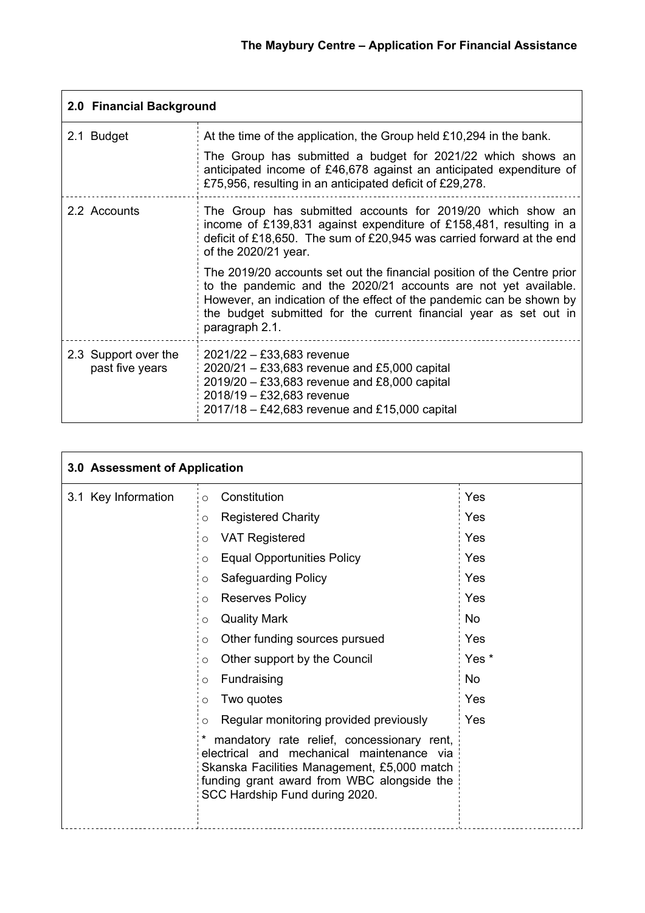| 2.0 Financial Background                |                                                                                                                                                                                                                                                                                                           |  |
|-----------------------------------------|-----------------------------------------------------------------------------------------------------------------------------------------------------------------------------------------------------------------------------------------------------------------------------------------------------------|--|
| 2.1 Budget                              | At the time of the application, the Group held £10,294 in the bank.                                                                                                                                                                                                                                       |  |
|                                         | The Group has submitted a budget for 2021/22 which shows an<br>anticipated income of £46,678 against an anticipated expenditure of<br>£75,956, resulting in an anticipated deficit of £29,278.                                                                                                            |  |
| 2.2 Accounts                            | The Group has submitted accounts for 2019/20 which show an<br>income of £139,831 against expenditure of £158,481, resulting in a<br>deficit of £18,650. The sum of £20,945 was carried forward at the end<br>of the 2020/21 year.                                                                         |  |
|                                         | The 2019/20 accounts set out the financial position of the Centre prior<br>to the pandemic and the 2020/21 accounts are not yet available.<br>However, an indication of the effect of the pandemic can be shown by<br>the budget submitted for the current financial year as set out in<br>paragraph 2.1. |  |
| 2.3 Support over the<br>past five years | 2021/22 - £33,683 revenue<br>$2020/21 - £33,683$ revenue and £5,000 capital<br>$2019/20 - £33,683$ revenue and £8,000 capital<br>2018/19 - £32,683 revenue<br>$2017/18 - \text{\textsterling}42,683$ revenue and £15,000 capital                                                                          |  |

| 3.0 Assessment of Application |                                                                                                                                                                                                                        |           |
|-------------------------------|------------------------------------------------------------------------------------------------------------------------------------------------------------------------------------------------------------------------|-----------|
| 3.1 Key Information           | Constitution<br>$\circ$                                                                                                                                                                                                | Yes       |
|                               | <b>Registered Charity</b><br>$\circ$                                                                                                                                                                                   | Yes       |
|                               | <b>VAT Registered</b><br>$\circ$                                                                                                                                                                                       | Yes       |
|                               | <b>Equal Opportunities Policy</b><br>$\circ$                                                                                                                                                                           | Yes       |
|                               | <b>Safeguarding Policy</b><br>$\circ$                                                                                                                                                                                  | Yes       |
|                               | <b>Reserves Policy</b><br>$\circ$                                                                                                                                                                                      | Yes       |
|                               | <b>Quality Mark</b><br>$\circ$                                                                                                                                                                                         | <b>No</b> |
|                               | Other funding sources pursued<br>$\circ$                                                                                                                                                                               | Yes       |
|                               | Other support by the Council<br>$\circ$                                                                                                                                                                                | Yes *     |
|                               | Fundraising<br>$\circ$                                                                                                                                                                                                 | <b>No</b> |
|                               | Two quotes<br>$\circ$                                                                                                                                                                                                  | Yes       |
|                               | Regular monitoring provided previously<br>$\circ$                                                                                                                                                                      | Yes       |
|                               | mandatory rate relief, concessionary rent,<br>electrical and mechanical maintenance via<br>Skanska Facilities Management, £5,000 match<br>funding grant award from WBC alongside the<br>SCC Hardship Fund during 2020. |           |